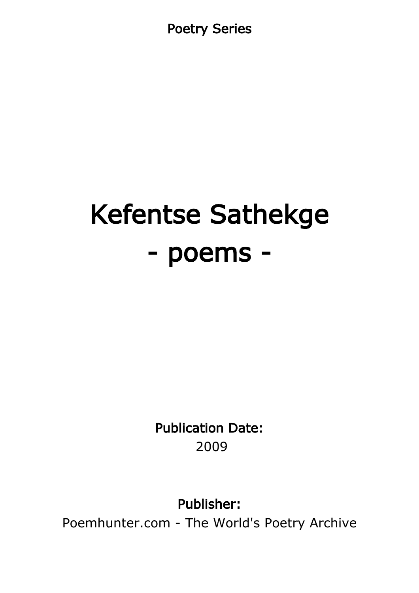Poetry Series

# Kefentse Sathekge - poems -

Publication Date: 2009

Publisher:

Poemhunter.com - The World's Poetry Archive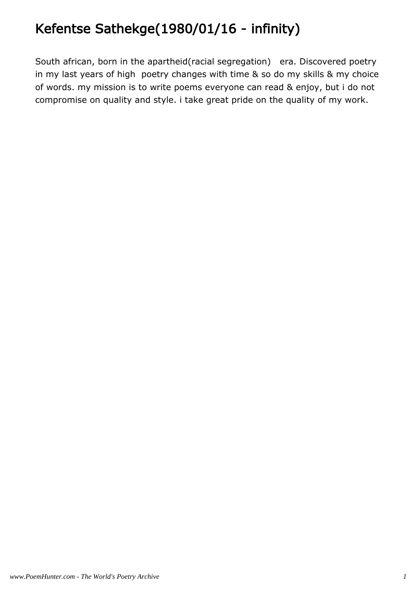# Kefentse Sathekge(1980/01/16 - infinity)

South african, born in the apartheid(racial segregation) era. Discovered poetry in my last years of high poetry changes with time & so do my skills & my choice of words. my mission is to write poems everyone can read & enjoy, but i do not compromise on quality and style. i take great pride on the quality of my work.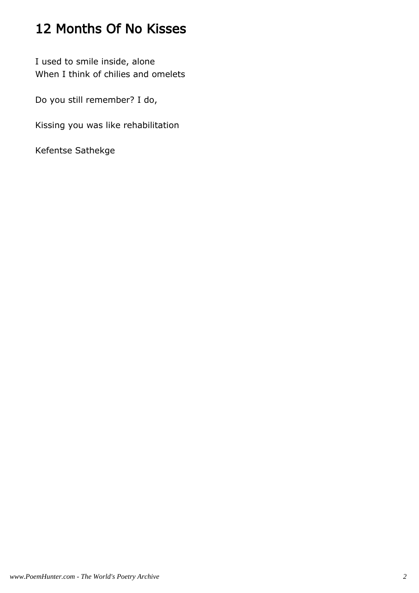# 12 Months Of No Kisses

I used to smile inside, alone When I think of chilies and omelets

Do you still remember? I do,

Kissing you was like rehabilitation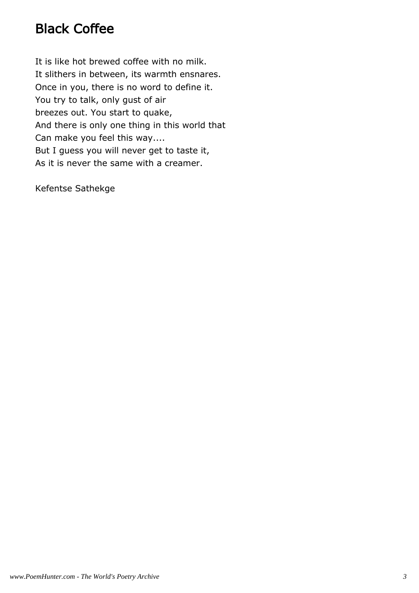# Black Coffee

It is like hot brewed coffee with no milk. It slithers in between, its warmth ensnares. Once in you, there is no word to define it. You try to talk, only gust of air breezes out. You start to quake, And there is only one thing in this world that Can make you feel this way.... But I guess you will never get to taste it, As it is never the same with a creamer.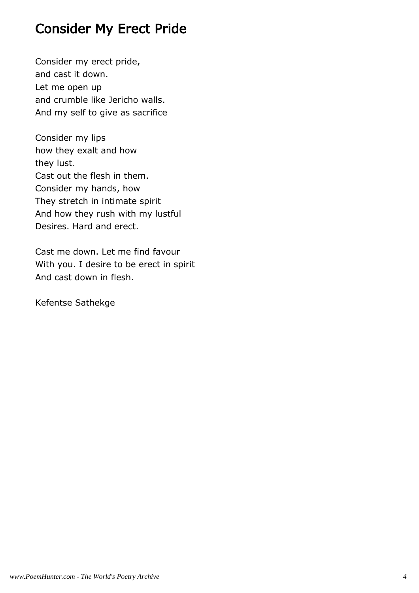### Consider My Erect Pride

Consider my erect pride, and cast it down. Let me open up and crumble like Jericho walls. And my self to give as sacrifice

Consider my lips how they exalt and how they lust. Cast out the flesh in them. Consider my hands, how They stretch in intimate spirit And how they rush with my lustful Desires. Hard and erect.

Cast me down. Let me find favour With you. I desire to be erect in spirit And cast down in flesh.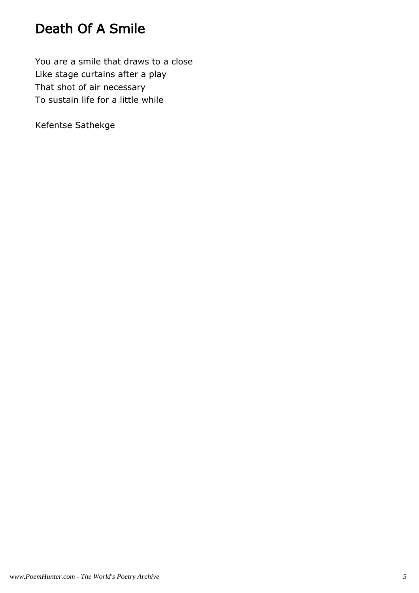## Death Of A Smile

You are a smile that draws to a close Like stage curtains after a play That shot of air necessary To sustain life for a little while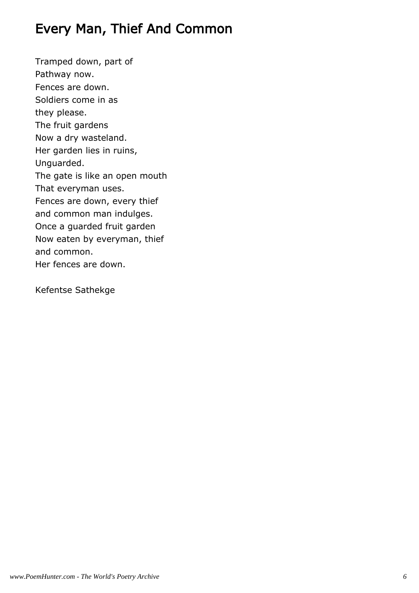## Every Man, Thief And Common

Tramped down, part of Pathway now. Fences are down. Soldiers come in as they please. The fruit gardens Now a dry wasteland. Her garden lies in ruins, Unguarded. The gate is like an open mouth That everyman uses. Fences are down, every thief and common man indulges. Once a guarded fruit garden Now eaten by everyman, thief and common. Her fences are down.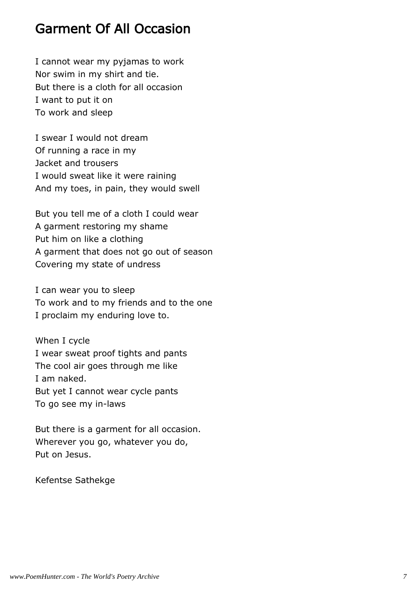#### Garment Of All Occasion

I cannot wear my pyjamas to work Nor swim in my shirt and tie. But there is a cloth for all occasion I want to put it on To work and sleep

I swear I would not dream Of running a race in my Jacket and trousers I would sweat like it were raining And my toes, in pain, they would swell

But you tell me of a cloth I could wear A garment restoring my shame Put him on like a clothing A garment that does not go out of season Covering my state of undress

I can wear you to sleep To work and to my friends and to the one I proclaim my enduring love to.

When I cycle I wear sweat proof tights and pants The cool air goes through me like I am naked. But yet I cannot wear cycle pants To go see my in-laws

But there is a garment for all occasion. Wherever you go, whatever you do, Put on Jesus.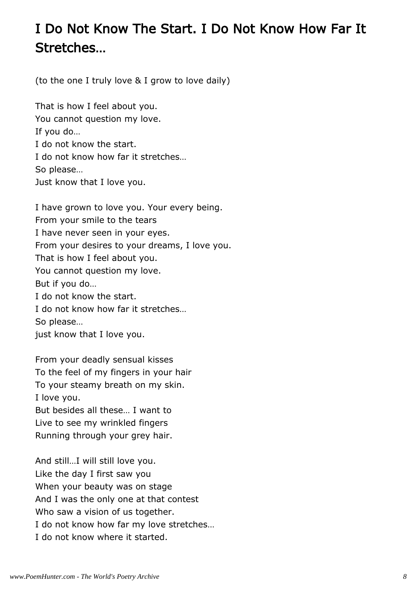# I Do Not Know The Start. I Do Not Know How Far It Stretches…

(to the one I truly love & I grow to love daily)

That is how I feel about you. You cannot question my love. If you do… I do not know the start. I do not know how far it stretches… So please… Just know that I love you.

I have grown to love you. Your every being. From your smile to the tears I have never seen in your eyes. From your desires to your dreams, I love you. That is how I feel about you. You cannot question my love. But if you do… I do not know the start. I do not know how far it stretches… So please… just know that I love you.

From your deadly sensual kisses To the feel of my fingers in your hair To your steamy breath on my skin. I love you. But besides all these… I want to Live to see my wrinkled fingers

Running through your grey hair.

And still…I will still love you. Like the day I first saw you When your beauty was on stage And I was the only one at that contest Who saw a vision of us together. I do not know how far my love stretches… I do not know where it started.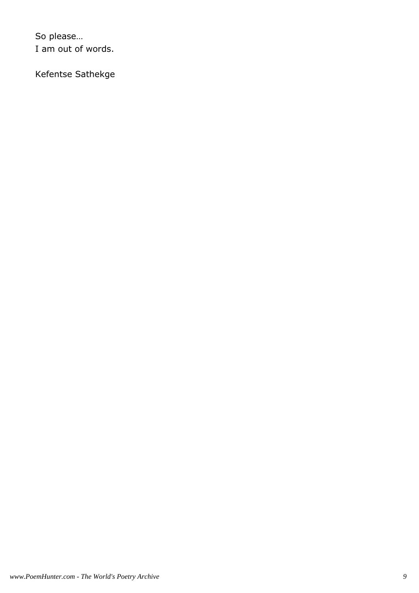So please… I am out of words.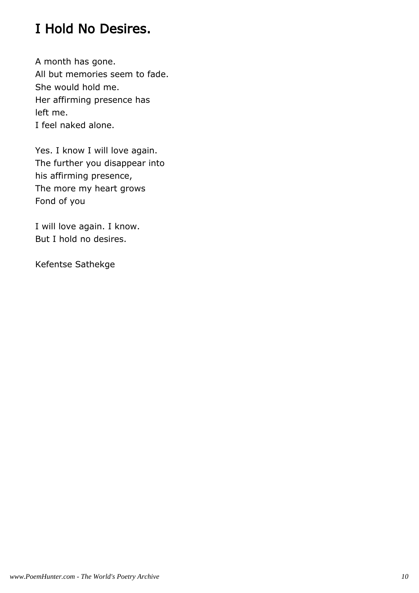# I Hold No Desires.

A month has gone. All but memories seem to fade. She would hold me. Her affirming presence has left me. I feel naked alone.

Yes. I know I will love again. The further you disappear into his affirming presence, The more my heart grows Fond of you

I will love again. I know. But I hold no desires.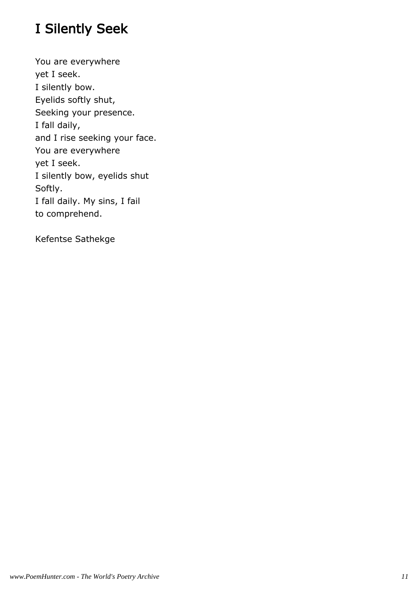# I Silently Seek

You are everywhere yet I seek. I silently bow. Eyelids softly shut, Seeking your presence. I fall daily, and I rise seeking your face. You are everywhere yet I seek. I silently bow, eyelids shut Softly. I fall daily. My sins, I fail to comprehend.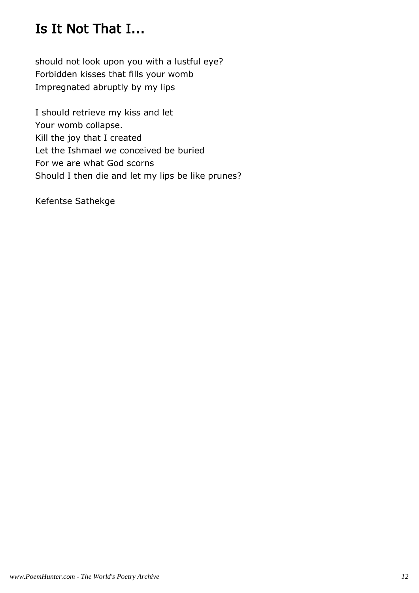# Is It Not That I...

should not look upon you with a lustful eye? Forbidden kisses that fills your womb Impregnated abruptly by my lips

I should retrieve my kiss and let Your womb collapse. Kill the joy that I created Let the Ishmael we conceived be buried For we are what God scorns Should I then die and let my lips be like prunes?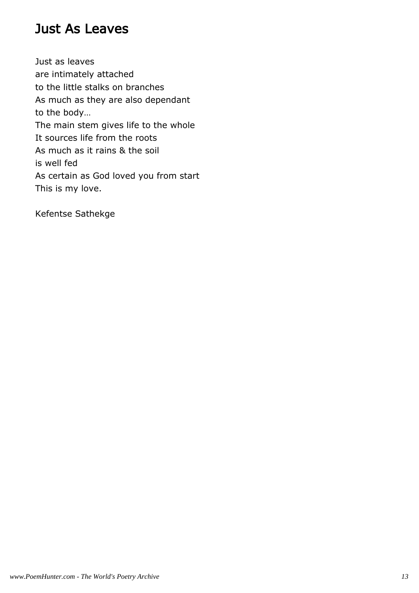#### Just As Leaves

Just as leaves are intimately attached to the little stalks on branches As much as they are also dependant to the body… The main stem gives life to the whole It sources life from the roots As much as it rains & the soil is well fed As certain as God loved you from start This is my love.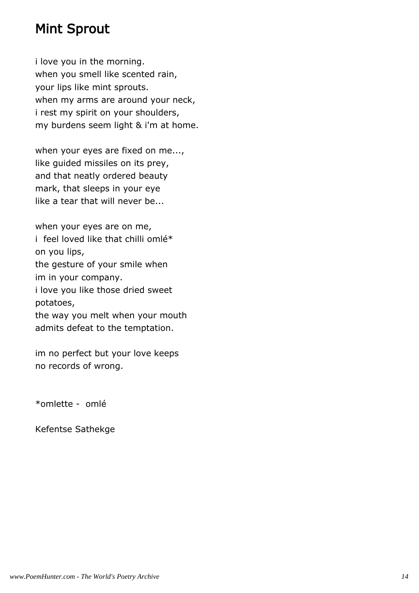#### Mint Sprout

i love you in the morning. when you smell like scented rain, your lips like mint sprouts. when my arms are around your neck, i rest my spirit on your shoulders, my burdens seem light & i'm at home.

when your eyes are fixed on me..., like guided missiles on its prey, and that neatly ordered beauty mark, that sleeps in your eye like a tear that will never be...

when your eyes are on me, i feel loved like that chilli omlé\* on you lips, the gesture of your smile when im in your company. i love you like those dried sweet potatoes, the way you melt when your mouth

admits defeat to the temptation.

im no perfect but your love keeps no records of wrong.

\*omlette - omlé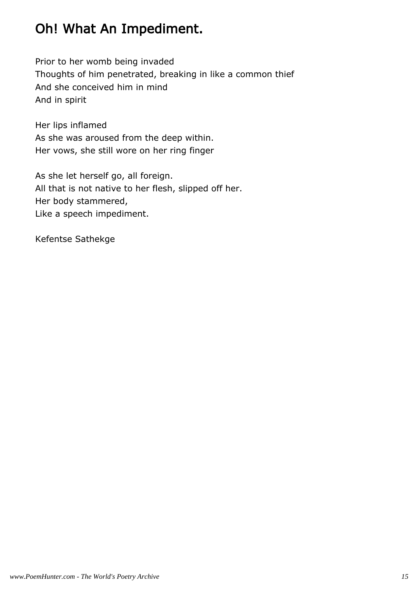# Oh! What An Impediment.

Prior to her womb being invaded Thoughts of him penetrated, breaking in like a common thief And she conceived him in mind And in spirit

Her lips inflamed As she was aroused from the deep within. Her vows, she still wore on her ring finger

As she let herself go, all foreign. All that is not native to her flesh, slipped off her. Her body stammered, Like a speech impediment.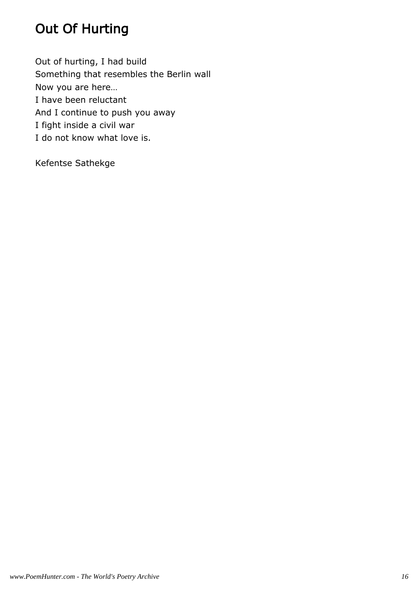# Out Of Hurting

Out of hurting, I had build Something that resembles the Berlin wall Now you are here… I have been reluctant And I continue to push you away I fight inside a civil war I do not know what love is.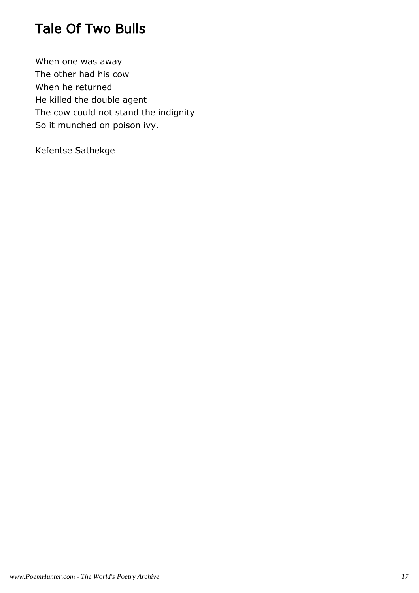# Tale Of Two Bulls

When one was away The other had his cow When he returned He killed the double agent The cow could not stand the indignity So it munched on poison ivy.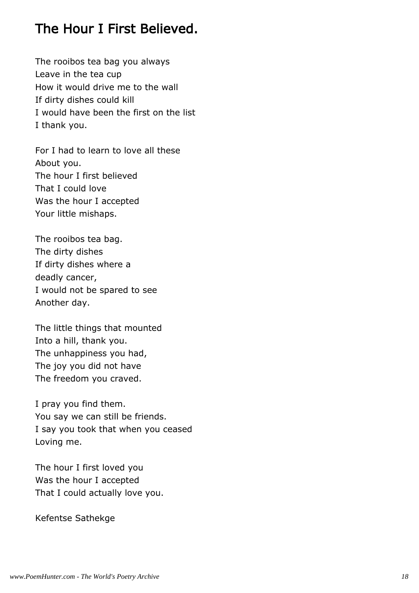# The Hour I First Believed.

The rooibos tea bag you always Leave in the tea cup How it would drive me to the wall If dirty dishes could kill I would have been the first on the list I thank you.

For I had to learn to love all these About you. The hour I first believed That I could love Was the hour I accepted Your little mishaps.

The rooibos tea bag. The dirty dishes If dirty dishes where a deadly cancer, I would not be spared to see Another day.

The little things that mounted Into a hill, thank you. The unhappiness you had, The joy you did not have The freedom you craved.

I pray you find them. You say we can still be friends. I say you took that when you ceased Loving me.

The hour I first loved you Was the hour I accepted That I could actually love you.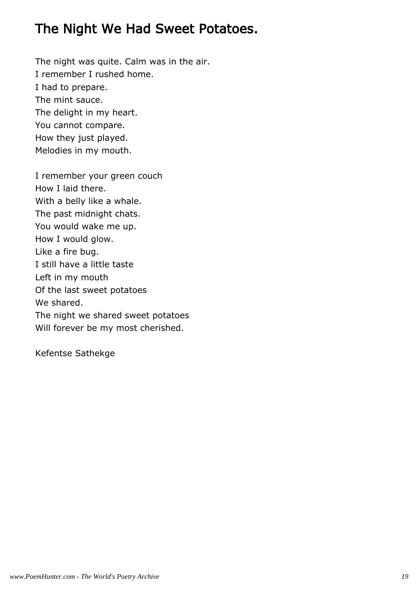### The Night We Had Sweet Potatoes.

The night was quite. Calm was in the air. I remember I rushed home. I had to prepare. The mint sauce. The delight in my heart. You cannot compare. How they just played. Melodies in my mouth.

I remember your green couch How I laid there. With a belly like a whale. The past midnight chats. You would wake me up. How I would glow. Like a fire bug. I still have a little taste Left in my mouth Of the last sweet potatoes We shared. The night we shared sweet potatoes Will forever be my most cherished.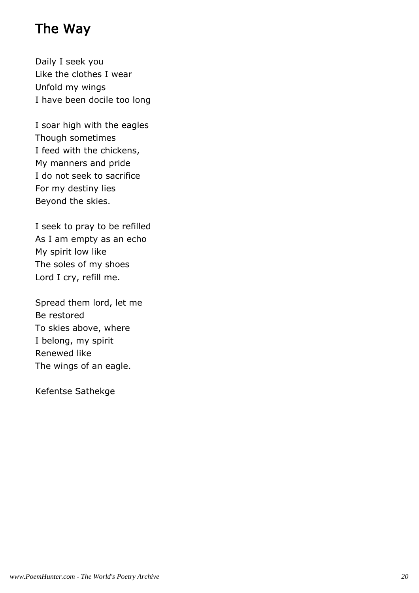# The Way

Daily I seek you Like the clothes I wear Unfold my wings I have been docile too long

I soar high with the eagles Though sometimes I feed with the chickens, My manners and pride I do not seek to sacrifice For my destiny lies Beyond the skies.

I seek to pray to be refilled As I am empty as an echo My spirit low like The soles of my shoes Lord I cry, refill me.

Spread them lord, let me Be restored To skies above, where I belong, my spirit Renewed like The wings of an eagle.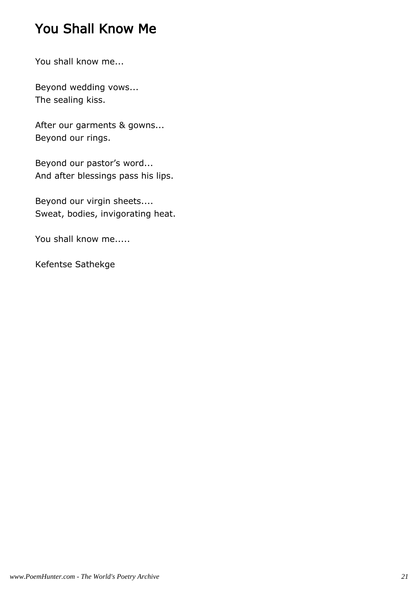## You Shall Know Me

You shall know me...

Beyond wedding vows... The sealing kiss.

After our garments & gowns... Beyond our rings.

Beyond our pastor's word... And after blessings pass his lips.

Beyond our virgin sheets.... Sweat, bodies, invigorating heat.

You shall know me.....